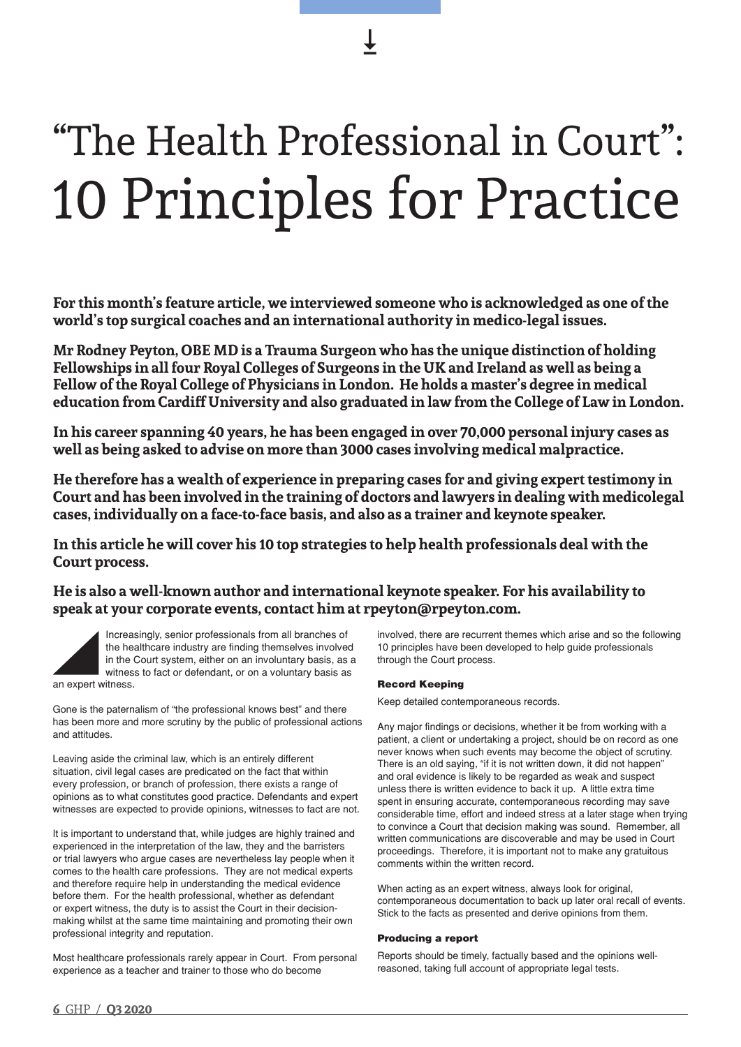# "The Health Professional in Court": 10 Principles for Practice

**For this month's feature article, we interviewed someone who is acknowledged as one of the world's top surgical coaches and an international authority in medico-legal issues.** 

**Mr Rodney Peyton, OBE MD is a Trauma Surgeon who has the unique distinction of holding Fellowships in all four Royal Colleges of Surgeons in the UK and Ireland as well as being a Fellow of the Royal College of Physicians in London. He holds a master's degree in medical education from Cardiff University and also graduated in law from the College of Law in London.** 

**In his career spanning 40 years, he has been engaged in over 70,000 personal injury cases as well as being asked to advise on more than 3000 cases involving medical malpractice.** 

**He therefore has a wealth of experience in preparing cases for and giving expert testimony in Court and has been involved in the training of doctors and lawyers in dealing with medicolegal cases, individually on a face-to-face basis, and also as a trainer and keynote speaker.** 

**In this article he will cover his 10 top strategies to help health professionals deal with the Court process.** 

**He is also a well-known author and international keynote speaker. For his availability to speak at your corporate events, contact him at rpeyton@rpeyton.com.** 

Increasingly, senior professionals from all branches of the healthcare industry are finding themselves involved in the Court system, either on an involuntary basis, as a witness to fact or defendant, or on a voluntary basis as an expert witness.

Gone is the paternalism of "the professional knows best" and there has been more and more scrutiny by the public of professional actions and attitudes.

Leaving aside the criminal law, which is an entirely different situation, civil legal cases are predicated on the fact that within every profession, or branch of profession, there exists a range of opinions as to what constitutes good practice. Defendants and expert witnesses are expected to provide opinions, witnesses to fact are not.

It is important to understand that, while judges are highly trained and experienced in the interpretation of the law, they and the barristers or trial lawyers who argue cases are nevertheless lay people when it comes to the health care professions. They are not medical experts and therefore require help in understanding the medical evidence before them. For the health professional, whether as defendant or expert witness, the duty is to assist the Court in their decisionmaking whilst at the same time maintaining and promoting their own professional integrity and reputation.

Most healthcare professionals rarely appear in Court. From personal experience as a teacher and trainer to those who do become

involved, there are recurrent themes which arise and so the following 10 principles have been developed to help guide professionals through the Court process.

# Record Keeping

Keep detailed contemporaneous records.

Any major findings or decisions, whether it be from working with a patient, a client or undertaking a project, should be on record as one never knows when such events may become the object of scrutiny. There is an old saying, "if it is not written down, it did not happen" and oral evidence is likely to be regarded as weak and suspect unless there is written evidence to back it up. A little extra time spent in ensuring accurate, contemporaneous recording may save considerable time, effort and indeed stress at a later stage when trying to convince a Court that decision making was sound. Remember, all written communications are discoverable and may be used in Court proceedings. Therefore, it is important not to make any gratuitous comments within the written record.

When acting as an expert witness, always look for original, contemporaneous documentation to back up later oral recall of events. Stick to the facts as presented and derive opinions from them.

## Producing a report

Reports should be timely, factually based and the opinions wellreasoned, taking full account of appropriate legal tests.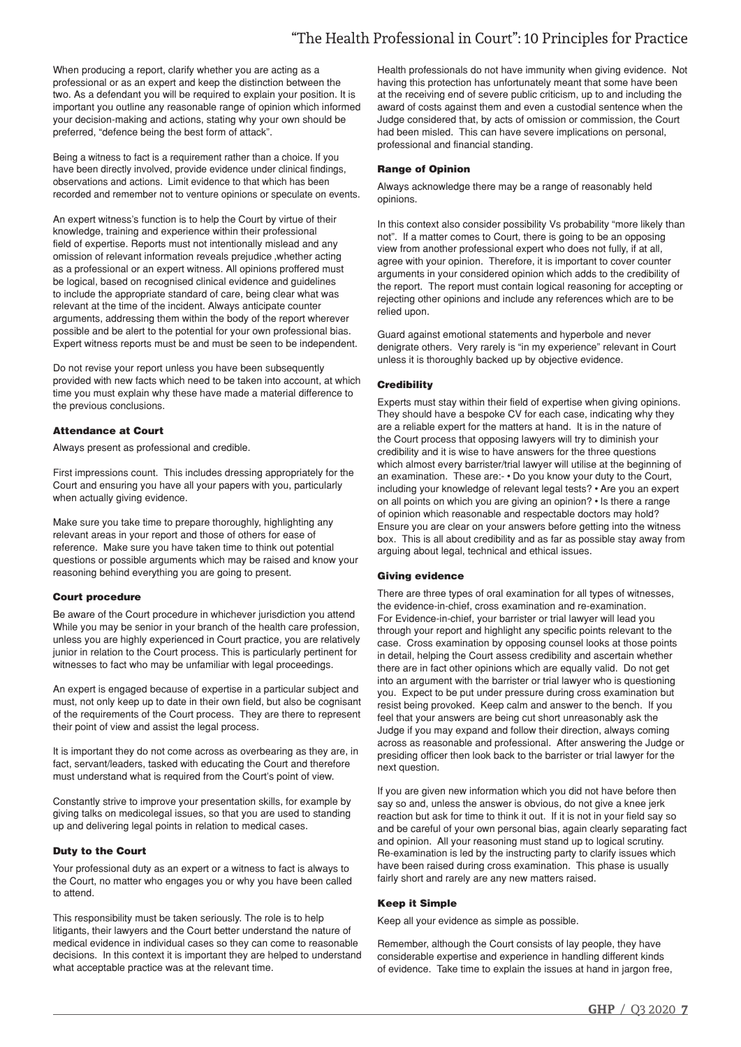When producing a report, clarify whether you are acting as a professional or as an expert and keep the distinction between the two. As a defendant you will be required to explain your position. It is important you outline any reasonable range of opinion which informed your decision-making and actions, stating why your own should be preferred, "defence being the best form of attack".

Being a witness to fact is a requirement rather than a choice. If you have been directly involved, provide evidence under clinical findings, observations and actions. Limit evidence to that which has been recorded and remember not to venture opinions or speculate on events.

An expert witness's function is to help the Court by virtue of their knowledge, training and experience within their professional field of expertise. Reports must not intentionally mislead and any omission of relevant information reveals prejudice ,whether acting as a professional or an expert witness. All opinions proffered must be logical, based on recognised clinical evidence and guidelines to include the appropriate standard of care, being clear what was relevant at the time of the incident. Always anticipate counter arguments, addressing them within the body of the report wherever possible and be alert to the potential for your own professional bias. Expert witness reports must be and must be seen to be independent.

Do not revise your report unless you have been subsequently provided with new facts which need to be taken into account, at which time you must explain why these have made a material difference to the previous conclusions.

## Attendance at Court

Always present as professional and credible.

First impressions count. This includes dressing appropriately for the Court and ensuring you have all your papers with you, particularly when actually giving evidence.

Make sure you take time to prepare thoroughly, highlighting any relevant areas in your report and those of others for ease of reference. Make sure you have taken time to think out potential questions or possible arguments which may be raised and know your reasoning behind everything you are going to present.

## Court procedure

Be aware of the Court procedure in whichever jurisdiction you attend While you may be senior in your branch of the health care profession, unless you are highly experienced in Court practice, you are relatively junior in relation to the Court process. This is particularly pertinent for witnesses to fact who may be unfamiliar with legal proceedings.

An expert is engaged because of expertise in a particular subject and must, not only keep up to date in their own field, but also be cognisant of the requirements of the Court process. They are there to represent their point of view and assist the legal process.

It is important they do not come across as overbearing as they are, in fact, servant/leaders, tasked with educating the Court and therefore must understand what is required from the Court's point of view.

Constantly strive to improve your presentation skills, for example by giving talks on medicolegal issues, so that you are used to standing up and delivering legal points in relation to medical cases.

# Duty to the Court

Your professional duty as an expert or a witness to fact is always to the Court, no matter who engages you or why you have been called to attend.

This responsibility must be taken seriously. The role is to help litigants, their lawyers and the Court better understand the nature of medical evidence in individual cases so they can come to reasonable decisions. In this context it is important they are helped to understand what acceptable practice was at the relevant time.

Health professionals do not have immunity when giving evidence. Not having this protection has unfortunately meant that some have been at the receiving end of severe public criticism, up to and including the award of costs against them and even a custodial sentence when the Judge considered that, by acts of omission or commission, the Court had been misled. This can have severe implications on personal, professional and financial standing.

## Range of Opinion

Always acknowledge there may be a range of reasonably held opinions.

In this context also consider possibility Vs probability "more likely than not". If a matter comes to Court, there is going to be an opposing view from another professional expert who does not fully, if at all, agree with your opinion. Therefore, it is important to cover counter arguments in your considered opinion which adds to the credibility of the report. The report must contain logical reasoning for accepting or rejecting other opinions and include any references which are to be relied upon.

Guard against emotional statements and hyperbole and never denigrate others. Very rarely is "in my experience" relevant in Court unless it is thoroughly backed up by objective evidence.

## **Credibility**

Experts must stay within their field of expertise when giving opinions. They should have a bespoke CV for each case, indicating why they are a reliable expert for the matters at hand. It is in the nature of the Court process that opposing lawyers will try to diminish your credibility and it is wise to have answers for the three questions which almost every barrister/trial lawyer will utilise at the beginning of an examination. These are:- • Do you know your duty to the Court, including your knowledge of relevant legal tests? • Are you an expert on all points on which you are giving an opinion? • Is there a range of opinion which reasonable and respectable doctors may hold? Ensure you are clear on your answers before getting into the witness box. This is all about credibility and as far as possible stay away from arguing about legal, technical and ethical issues.

## Giving evidence

There are three types of oral examination for all types of witnesses, the evidence-in-chief, cross examination and re-examination. For Evidence-in-chief, your barrister or trial lawyer will lead you through your report and highlight any specific points relevant to the case. Cross examination by opposing counsel looks at those points in detail, helping the Court assess credibility and ascertain whether there are in fact other opinions which are equally valid. Do not get into an argument with the barrister or trial lawyer who is questioning you. Expect to be put under pressure during cross examination but resist being provoked. Keep calm and answer to the bench. If you feel that your answers are being cut short unreasonably ask the Judge if you may expand and follow their direction, always coming across as reasonable and professional. After answering the Judge or presiding officer then look back to the barrister or trial lawyer for the next question.

If you are given new information which you did not have before then say so and, unless the answer is obvious, do not give a knee jerk reaction but ask for time to think it out. If it is not in your field say so and be careful of your own personal bias, again clearly separating fact and opinion. All your reasoning must stand up to logical scrutiny. Re-examination is led by the instructing party to clarify issues which have been raised during cross examination. This phase is usually fairly short and rarely are any new matters raised.

# Keep it Simple

Keep all your evidence as simple as possible.

Remember, although the Court consists of lay people, they have considerable expertise and experience in handling different kinds of evidence. Take time to explain the issues at hand in jargon free,